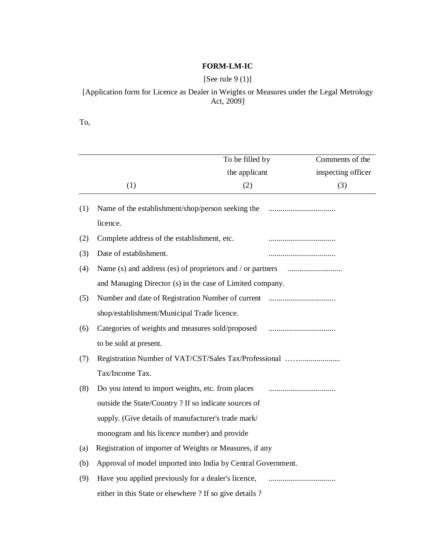## **FORM-LM-IC**

# [See rule 9 (1)]

## [Application form for Licence as Dealer in Weights or Measures under the Legal Metrology Act, 2009]

To,

|     |                                                              | To be filled by | Comments of the    |
|-----|--------------------------------------------------------------|-----------------|--------------------|
|     |                                                              | the applicant   | inspecting officer |
|     | (1)                                                          | (2)             | (3)                |
| (1) | Name of the establishment/shop/person seeking the            |                 |                    |
|     | licence.                                                     |                 |                    |
| (2) | Complete address of the establishment, etc.                  |                 |                    |
| (3) | Date of establishment.                                       |                 |                    |
| (4) | Name (s) and address (es) of proprietors and / or partners   |                 |                    |
|     | and Managing Director (s) in the case of Limited company.    |                 |                    |
| (5) |                                                              |                 |                    |
|     | shop/establishment/Municipal Trade licence.                  |                 |                    |
| (6) | Categories of weights and measures sold/proposed             |                 |                    |
|     | to be sold at present.                                       |                 |                    |
| (7) | Registration Number of VAT/CST/Sales Tax/Professional        |                 |                    |
|     | Tax/Income Tax.                                              |                 |                    |
| (8) | Do you intend to import weights, etc. from places            |                 |                    |
|     | outside the State/Country ? If so indicate sources of        |                 |                    |
|     | supply. (Give details of manufacturer's trade mark/          |                 |                    |
|     | monogram and his licence number) and provide                 |                 |                    |
| (a) | Registration of importer of Weights or Measures, if any      |                 |                    |
| (b) | Approval of model imported into India by Central Government. |                 |                    |
| (9) | Have you applied previously for a dealer's licence,          |                 |                    |
|     | either in this State or elsewhere ? If so give details ?     |                 |                    |